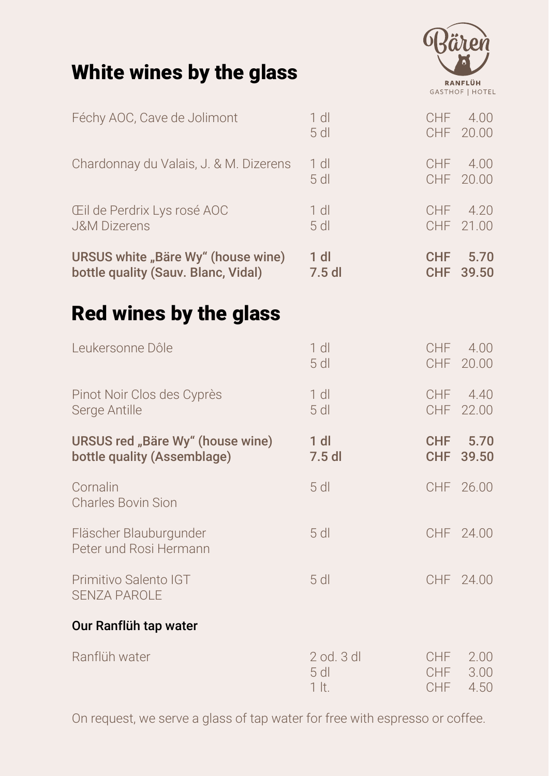# White wines by the glass



| Féchy AOC, Cave de Jolimont                      | $1$ dl<br>$5$ dl | <b>CHF</b> | 4.00<br>CHF 20.00 |
|--------------------------------------------------|------------------|------------|-------------------|
| Chardonnay du Valais, J. & M. Dizerens           | $1$ dl           | CHF        | 4.00              |
|                                                  | $5$ dl           | CHF        | 20.00             |
| Eil de Perdrix Lys rosé AOC                      | $1$ dl           | CHF        | 4.20              |
| <b>J&amp;M Dizerens</b>                          | $5$ dl           | CHF        | 21.00             |
| URSUS white "Bäre Wy" (house wine)               | $1$ dl           | <b>CHF</b> | 5.70              |
| bottle quality (Sauv. Blanc, Vidal)              | $7.5$ dl         | <b>CHF</b> | 39.50             |
| <b>Red wines by the glass</b>                    |                  |            |                   |
| Leukersonne Dôle                                 | $1$ dl           | <b>CHF</b> | 4.00              |
|                                                  | 5 <sub>dl</sub>  | CHF        | 20.00             |
| Pinot Noir Clos des Cyprès                       | $1$ dl           | CHF        | 4.40              |
| Serge Antille                                    | $5$ dl           | CHF        | 22.00             |
| URSUS red "Bäre Wy" (house wine)                 | $1$ dl           | <b>CHF</b> | 5.70              |
| bottle quality (Assemblage)                      | $7.5$ dl         | <b>CHF</b> | 39.50             |
| Cornalin<br><b>Charles Bovin Sion</b>            | $5$ dl           |            | CHF 26.00         |
| Fläscher Blauburgunder<br>Peter und Rosi Hermann | $5$ dl           |            | CHF 24.00         |
| Primitivo Salento IGT<br><b>SENZA PAROLE</b>     | $5$ dl           |            | CHF 24.00         |
| Our Ranflüh tap water                            |                  |            |                   |
| Ranflüh water                                    | $2$ od. $3$ dl   | <b>CHF</b> | 2.00              |
|                                                  | $5$ dl           | <b>CHF</b> | 3.00              |
|                                                  | $1$ It.          | <b>CHF</b> | 4.50              |

On request, we serve a glass of tap water for free with espresso or coffee.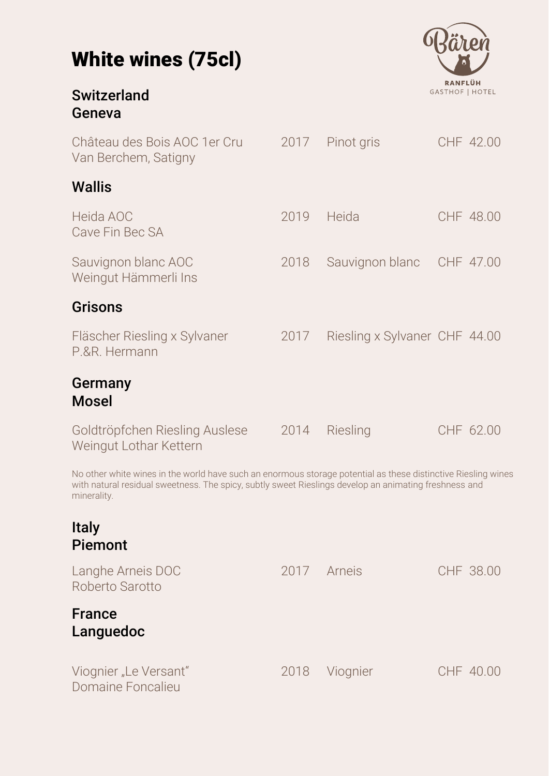

| <b>Switzerland</b><br>Geneva                                                                                                                                                                                                          |      |                               | <b>GASTHOF   HOTEL</b> |
|---------------------------------------------------------------------------------------------------------------------------------------------------------------------------------------------------------------------------------------|------|-------------------------------|------------------------|
| Château des Bois AOC 1 er Cru<br>Van Berchem, Satigny                                                                                                                                                                                 | 2017 | Pinot gris                    | CHF 42.00              |
| <b>Wallis</b>                                                                                                                                                                                                                         |      |                               |                        |
| Heida AOC<br>Cave Fin Bec SA                                                                                                                                                                                                          | 2019 | Heida                         | CHF 48.00              |
| Sauvignon blanc AOC<br>Weingut Hämmerli Ins                                                                                                                                                                                           | 2018 | Sauvignon blanc               | CHF 47.00              |
| <b>Grisons</b>                                                                                                                                                                                                                        |      |                               |                        |
| Fläscher Riesling x Sylvaner<br>P.&R. Hermann                                                                                                                                                                                         | 2017 | Riesling x Sylvaner CHF 44.00 |                        |
| Germany<br><b>Mosel</b>                                                                                                                                                                                                               |      |                               |                        |
| Goldtröpfchen Riesling Auslese<br>Weingut Lothar Kettern                                                                                                                                                                              | 2014 | Riesling                      | CHF 62.00              |
| No other white wines in the world have such an enormous storage potential as these distinctive Riesling wines<br>with natural residual sweetness. The spicy, subtly sweet Rieslings develop an animating freshness and<br>minerality. |      |                               |                        |

### Italy Piemont

| Langhe Arneis DOC<br>Roberto Sarotto       | 2017 Arneis |          | CHF 38.00 |
|--------------------------------------------|-------------|----------|-----------|
| <b>France</b><br>Languedoc                 |             |          |           |
| Viognier "Le Versant"<br>Domaine Foncalieu | 2018        | Viognier | CHF 40.00 |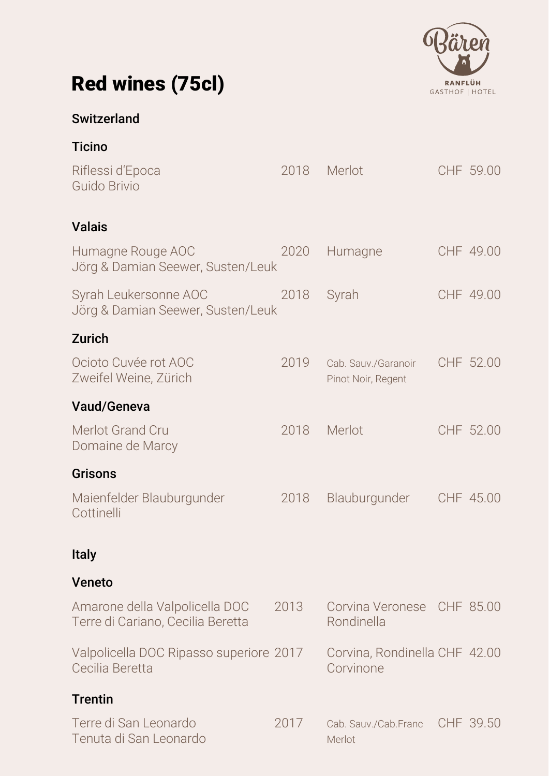

# Red wines (75cl)

# **Switzerland**

|  | <b>Ticino</b> |
|--|---------------|
|  |               |

| Riflessi d'Epoca<br>Guido Brivio                                    | 2018 | Merlot                                     | CHF 59.00 |
|---------------------------------------------------------------------|------|--------------------------------------------|-----------|
| <b>Valais</b>                                                       |      |                                            |           |
| Humagne Rouge AOC<br>Jörg & Damian Seewer, Susten/Leuk              | 2020 | Humagne                                    | CHF 49.00 |
| Syrah Leukersonne AOC<br>Jörg & Damian Seewer, Susten/Leuk          | 2018 | Syrah                                      | CHF 49.00 |
| <b>Zurich</b>                                                       |      |                                            |           |
| Ocioto Cuvée rot AOC<br>Zweifel Weine, Zürich                       | 2019 | Cab. Sauv./Garanoir<br>Pinot Noir, Regent  | CHF 52.00 |
| <b>Vaud/Geneva</b>                                                  |      |                                            |           |
| Merlot Grand Cru<br>Domaine de Marcy                                | 2018 | Merlot                                     | CHF 52.00 |
| <b>Grisons</b>                                                      |      |                                            |           |
| Maienfelder Blauburgunder<br>Cottinelli                             | 2018 | Blauburgunder                              | CHF 45.00 |
| <b>Italy</b>                                                        |      |                                            |           |
| <b>Veneto</b>                                                       |      |                                            |           |
| Amarone della Valpolicella DOC<br>Terre di Cariano, Cecilia Beretta | 2013 | Corvina Veronese CHF 85.00<br>Rondinella   |           |
| Valpolicella DOC Ripasso superiore 2017<br>Cecilia Beretta          |      | Corvina, Rondinella CHF 42.00<br>Corvinone |           |
| <b>Trentin</b>                                                      |      |                                            |           |
| Terre di San Leonardo<br>Tenuta di San Leonardo                     | 2017 | Cab. Sauv./Cab.Franc<br>Merlot             | CHF 39.50 |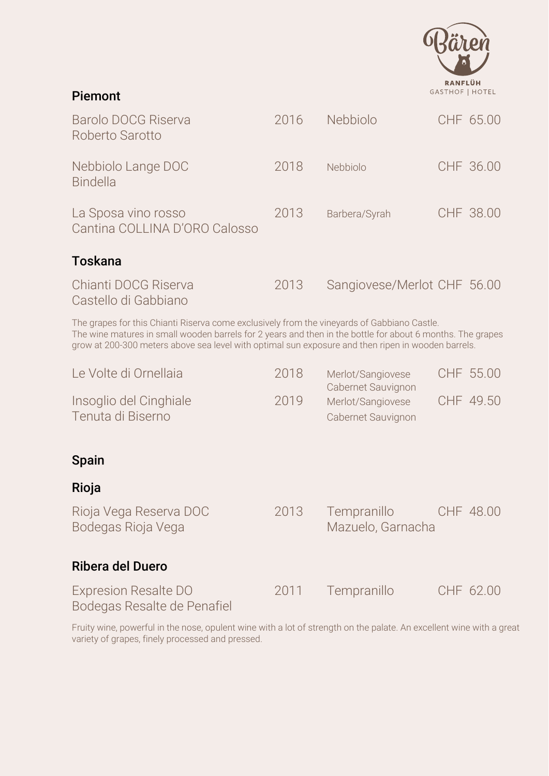

#### Piemont

| <b>Barolo DOCG Riserva</b><br>Roberto Sarotto                                                                                                                                                                                                                                                                   | 2016 | Nebbiolo                                                      |  | CHF 65.00 |  |
|-----------------------------------------------------------------------------------------------------------------------------------------------------------------------------------------------------------------------------------------------------------------------------------------------------------------|------|---------------------------------------------------------------|--|-----------|--|
| Nebbiolo Lange DOC<br><b>Bindella</b>                                                                                                                                                                                                                                                                           | 2018 | Nebbiolo                                                      |  | CHF 36.00 |  |
| La Sposa vino rosso<br>Cantina COLLINA D'ORO Calosso                                                                                                                                                                                                                                                            | 2013 | Barbera/Syrah                                                 |  | CHF 38.00 |  |
| Toskana                                                                                                                                                                                                                                                                                                         |      |                                                               |  |           |  |
| Chianti DOCG Riserva<br>Castello di Gabbiano                                                                                                                                                                                                                                                                    | 2013 | Sangiovese/Merlot CHF 56.00                                   |  |           |  |
| The grapes for this Chianti Riserva come exclusively from the vineyards of Gabbiano Castle.<br>The wine matures in small wooden barrels for 2 years and then in the bottle for about 6 months. The grapes<br>grow at 200-300 meters above sea level with optimal sun exposure and then ripen in wooden barrels. |      |                                                               |  |           |  |
| Le Volte di Ornellaia                                                                                                                                                                                                                                                                                           | 2018 | Merlot/Sangiovese                                             |  | CHF 55.00 |  |
| Insoglio del Cinghiale<br>Tenuta di Biserno                                                                                                                                                                                                                                                                     | 2019 | Cabernet Sauvignon<br>Merlot/Sangiovese<br>Cabernet Sauvignon |  | CHF 49.50 |  |
| <b>Spain</b>                                                                                                                                                                                                                                                                                                    |      |                                                               |  |           |  |
| Rioja                                                                                                                                                                                                                                                                                                           |      |                                                               |  |           |  |
| Rioja Vega Reserva DOC<br>Bodegas Rioja Vega                                                                                                                                                                                                                                                                    | 2013 | Tempranillo<br>Mazuelo, Garnacha                              |  | CHF 48.00 |  |

## Ribera del Duero

| <b>Expresion Resalte DO</b> | 2011 | Tempranillo | CHF 62.00 |
|-----------------------------|------|-------------|-----------|
| Bodegas Resalte de Penafiel |      |             |           |

Fruity wine, powerful in the nose, opulent wine with a lot of strength on the palate. An excellent wine with a great variety of grapes, finely processed and pressed.